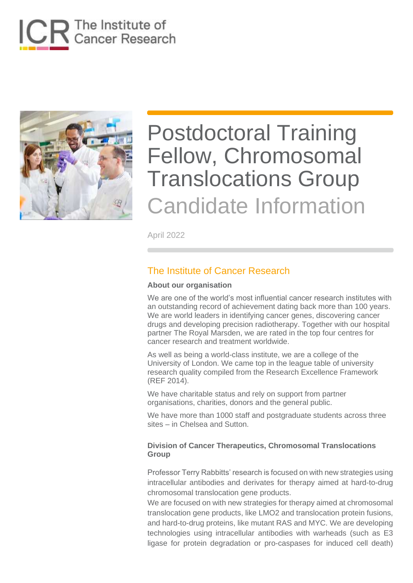



April 2022

### The Institute of Cancer Research

#### **About our organisation**

We are one of the world's most influential cancer research institutes with an outstanding record of achievement dating back more than 100 years. We are world leaders in identifying cancer genes, discovering cancer drugs and developing precision radiotherapy. Together with our hospital partner The Royal Marsden, we are rated in the top four centres for cancer research and treatment worldwide.

As well as being a world-class institute, we are a college of the University of London. We came top in the league table of university research quality compiled from the Research Excellence Framework (REF 2014).

We have charitable status and rely on support from partner organisations, charities, donors and the general public.

We have more than 1000 staff and postgraduate students across three sites – in Chelsea and Sutton.

#### **Division of Cancer Therapeutics, Chromosomal Translocations Group**

Professor Terry Rabbitts' research is focused on with new strategies using intracellular antibodies and derivates for therapy aimed at hard-to-drug chromosomal translocation gene products.

We are focused on with new strategies for therapy aimed at chromosomal translocation gene products, like LMO2 and translocation protein fusions, and hard-to-drug proteins, like mutant RAS and MYC. We are developing technologies using intracellular antibodies with warheads (such as E3 ligase for protein degradation or pro-caspases for induced cell death)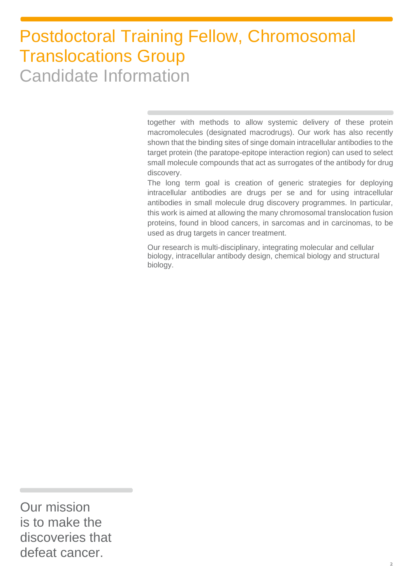together with methods to allow systemic delivery of these protein macromolecules (designated macrodrugs). Our work has also recently shown that the binding sites of singe domain intracellular antibodies to the target protein (the paratope-epitope interaction region) can used to select small molecule compounds that act as surrogates of the antibody for drug discovery.

The long term goal is creation of generic strategies for deploying intracellular antibodies are drugs per se and for using intracellular antibodies in small molecule drug discovery programmes. In particular, this work is aimed at allowing the many chromosomal translocation fusion proteins, found in blood cancers, in sarcomas and in carcinomas, to be used as drug targets in cancer treatment.

Our research is multi-disciplinary, integrating molecular and cellular biology, intracellular antibody design, chemical biology and structural biology.

Our mission is to make the discoveries that defeat cancer.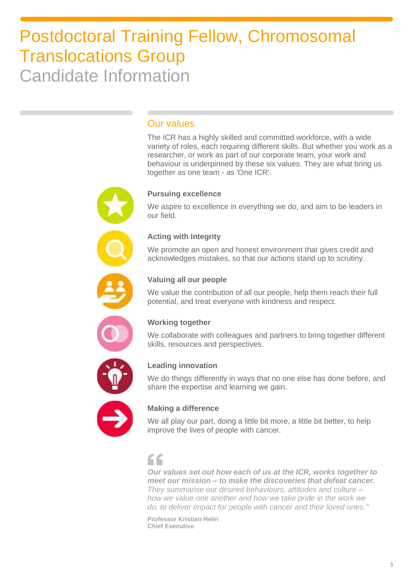## Our values

The ICR has a highly skilled and committed workforce, with a wide variety of roles, each requiring different skills. But whether you work as a researcher, or work as part of our corporate team, your work and behaviour is underpinned by these six values. They are what bring us together as one team - as 'One ICR'.



#### **Pursuing excellence**

We aspire to excellence in everything we do, and aim to be leaders in our field.



#### **Acting with Integrity**

We promote an open and honest environment that gives credit and acknowledges mistakes, so that our actions stand up to scrutiny.



#### **Valuing all our people**

We value the contribution of all our people, help them reach their full potential, and treat everyone with kindness and respect.



### **Working together**

We collaborate with colleagues and partners to bring together different skills, resources and perspectives.



#### **Leading innovation**

We do things differently in ways that no one else has done before, and share the expertise and learning we gain.



### **Making a difference**

We all play our part, doing a little bit more, a little bit better, to help improve the lives of people with cancer.

## "

*Our values set out how each of us at the ICR, works together to meet our mission – to make the discoveries that defeat cancer. They summarise our desired behaviours, attitudes and culture – how we value one another and how we take pride in the work we do, to deliver impact for people with cancer and their loved ones."*

**Professor Kristian Helin Chief Executive**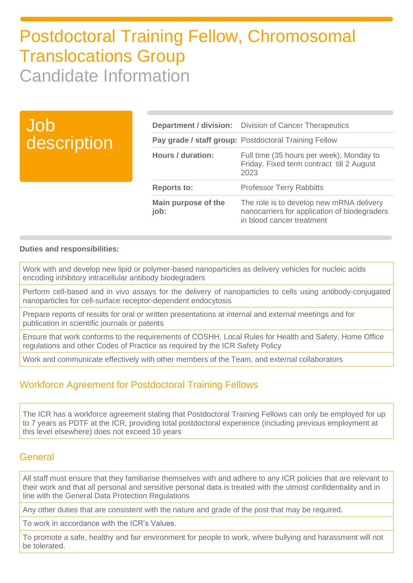| Job<br>description |                             | <b>Department / division:</b> Division of Cancer Therapeutics<br>Pay grade / staff group: Postdoctoral Training Fellow |
|--------------------|-----------------------------|------------------------------------------------------------------------------------------------------------------------|
|                    | <b>Hours / duration:</b>    | Full time (35 hours per week), Monday to<br>Friday. Fixed term contract till 2 August<br>2023                          |
|                    | <b>Reports to:</b>          | <b>Professor Terry Rabbitts</b>                                                                                        |
|                    | Main purpose of the<br>job: | The role is to develop new mRNA delivery<br>nanocarriers for application of biodegraders<br>in blood cancer treatment  |

#### **Duties and responsibilities:**

Work with and develop new lipid or polymer-based nanoparticles as delivery vehicles for nucleic acids encoding inhibitory intracellular antibody biodegraders

Perform cell-based and in vivo assays for the delivery of nanoparticles to cells using antibody-conjugated nanoparticles for cell-surface receptor-dependent endocytosis

Prepare reports of results for oral or written presentations at internal and external meetings and for publication in scientific journals or patents

Ensure that work conforms to the requirements of COSHH, Local Rules for Health and Safety, Home Office regulations and other Codes of Practice as required by the ICR Safety Policy

Work and communicate effectively with other members of the Team, and external collaborators

### Workforce Agreement for Postdoctoral Training Fellows

The ICR has a workforce agreement stating that Postdoctoral Training Fellows can only be employed for up to 7 years as PDTF at the ICR, providing total postdoctoral experience (including previous employment at this level elsewhere) does not exceed 10 years

### General

All staff must ensure that they familiarise themselves with and adhere to any ICR policies that are relevant to their work and that all personal and sensitive personal data is treated with the utmost confidentiality and in line with the General Data Protection Regulations

Any other duties that are consistent with the nature and grade of the post that may be required.

To work in accordance with the ICR's Values.

To promote a safe, healthy and fair environment for people to work, where bullying and harassment will not be tolerated.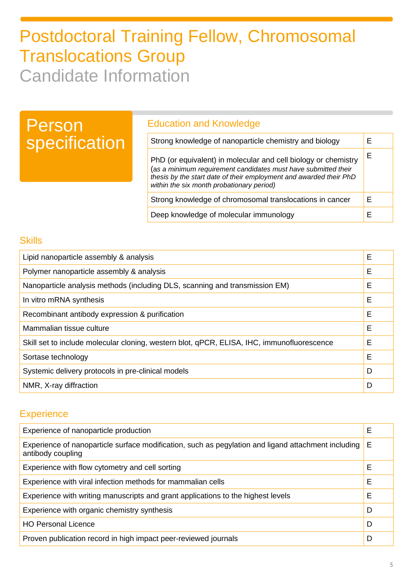## Person specification

## Education and Knowledge

| Strong knowledge of nanoparticle chemistry and biology                                                                                                                                                                                              |   |
|-----------------------------------------------------------------------------------------------------------------------------------------------------------------------------------------------------------------------------------------------------|---|
| PhD (or equivalent) in molecular and cell biology or chemistry<br>(as a minimum requirement candidates must have submitted their<br>thesis by the start date of their employment and awarded their PhD<br>within the six month probationary period) |   |
| Strong knowledge of chromosomal translocations in cancer                                                                                                                                                                                            | F |
| Deep knowledge of molecular immunology                                                                                                                                                                                                              |   |

## **Skills**

| Lipid nanoparticle assembly & analysis                                                     |   |
|--------------------------------------------------------------------------------------------|---|
| Polymer nanoparticle assembly & analysis                                                   | E |
| Nanoparticle analysis methods (including DLS, scanning and transmission EM)                | E |
| In vitro mRNA synthesis                                                                    | Е |
| Recombinant antibody expression & purification                                             | Е |
| Mammalian tissue culture                                                                   | Е |
| Skill set to include molecular cloning, western blot, qPCR, ELISA, IHC, immunofluorescence | E |
| Sortase technology                                                                         | Е |
| Systemic delivery protocols in pre-clinical models                                         | D |
| NMR, X-ray diffraction                                                                     | D |

### **Experience**

| Experience of nanoparticle production                                                                                    |   |
|--------------------------------------------------------------------------------------------------------------------------|---|
| Experience of nanoparticle surface modification, such as pegylation and ligand attachment including<br>antibody coupling | Е |
| Experience with flow cytometry and cell sorting                                                                          | Е |
| Experience with viral infection methods for mammalian cells                                                              | Е |
| Experience with writing manuscripts and grant applications to the highest levels                                         | Е |
| Experience with organic chemistry synthesis                                                                              | D |
| <b>HO Personal Licence</b>                                                                                               | D |
| Proven publication record in high impact peer-reviewed journals                                                          | D |